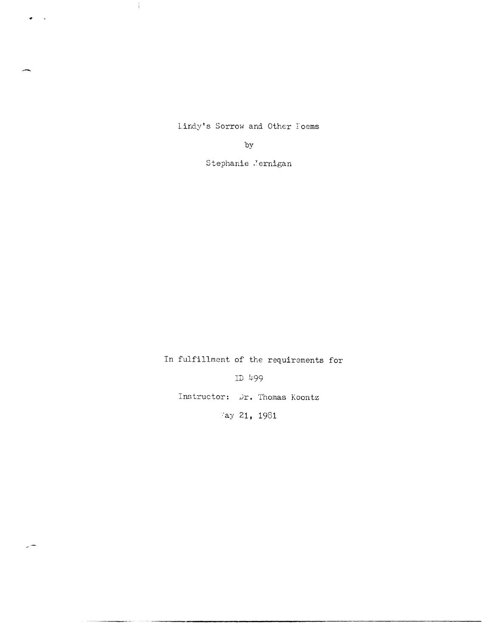Lindy's Sorrow and Other Toems

 $\mathcal{A}$ 

 $\bullet$  .  $\bullet$ 

 $e^{\mu\tau}$  and  $\tau$ 

by

Stephanie Jernigan

In fulfillment of the requirements for

ID 499

Instructor: Dr. Thomas Koontz

:ay 21, 1981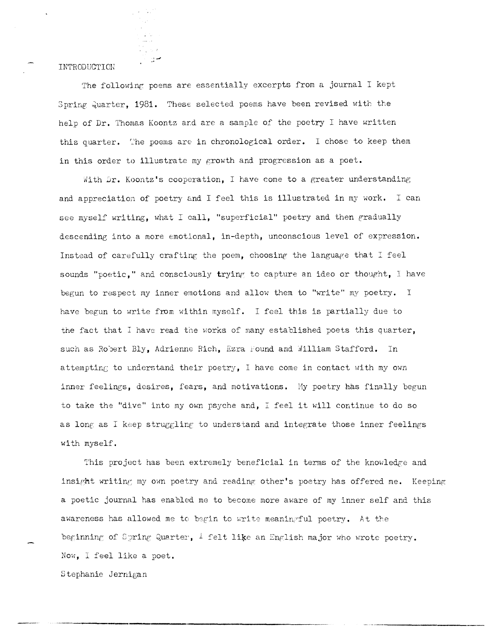## **INTRODUCTION**

The following poems are essentially excerpts from a journal I kept Spring Quarter, 1981. These selected poems have been revised with the help of Dr. Thomas Koontz and are a sample of the poetry I have written this quarter. The poems are in chronological order. I chose to keep them in this order to illustrate my growth and progression as a poet.

With Dr. Koontz's cooperation, I have come to a greater understanding and appreciation of poetry and I feel this is illustrated in my work. I can see myself writing, what I call, "superficial" poetry and then gradually descending into a more emotional, in-depth, unconscious level of expression. Instead of carefully crafting the poem, choosing the language that  $I$  feel sounds "poetic," and consciously trying to capture an ideo or thought, I have begun to respect my inner emotions and allow them to "write" my poetry. I have begun to write from within myself. I feel this is partially due to the fact that I have read the works of many established poets this quarter, such as Robert Bly, Adrienne Rich, Ezra Found and William Stafford. In attempting to understand their poetry, I have come in contact with my own inner feelings, desires, fears, and motivations. My poetry has finally begun to take the "dive" into my own psyche and, I feel it will continue to do so as long as I keep struggling to understand and integrate those inner feelings with myself.

This project has been extremely beneficial in terms of the knowledge and insight writing my own poetry and reading other's poetry has offered me. Keeping a poetic journal has enabled me to become more aware of my inner self and this awareness has allowed me to begin to write meaningful poetry. At the beginning of Spring Quarter,  $\perp$  felt like an English major who wrote poetry. Now, I feel like a poet.

Stephanie Jernigan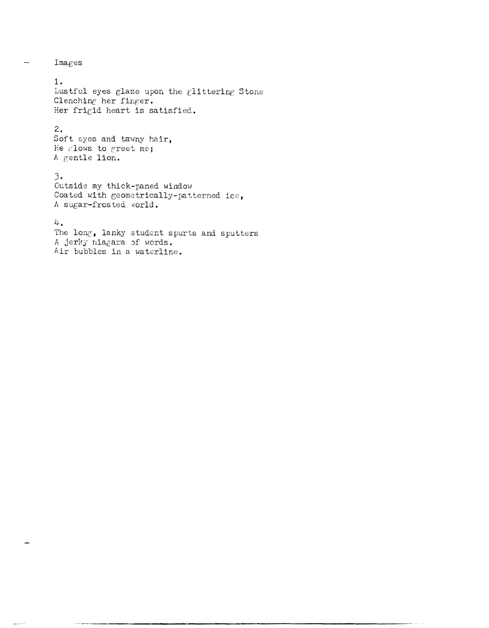$Imagees$ 

 $\frac{1}{2}$ 

 $1.$ Lustful eyes glaze upon the glittering Stone Clenching her finger. Her frigid heart is satisfied.

## $2.$

Soft eyes and tawny hair, He glows to greet me; A gentle lion.

## $3.$

Outside my thick-paned window Coated with geometrically-patterned ice, A sugar-frosted world.

## 4.

The long, lanky student spurts and sputters A jerky niagara of words. Air bubbles in a waterline.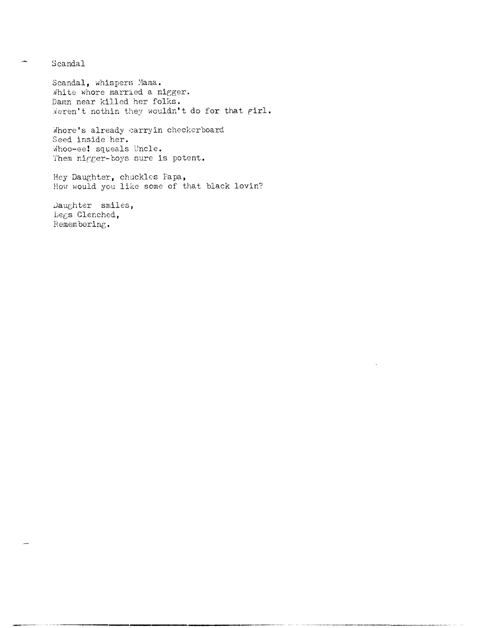Scandal

Scandal, whispers Mama. White whore married a nigger. Damn near killed her folks. Weren't nothin they wouldn't do for that girl.

Whore's already carryin checkerboard Seed inside her. Whoo-ee! squeals Uncle. Them nigger-boys sure is potent.

Hey Daughter, chuckles Papa, How would you like some of that black lovin?

Daughter smiles, Legs Clenched, Remembering.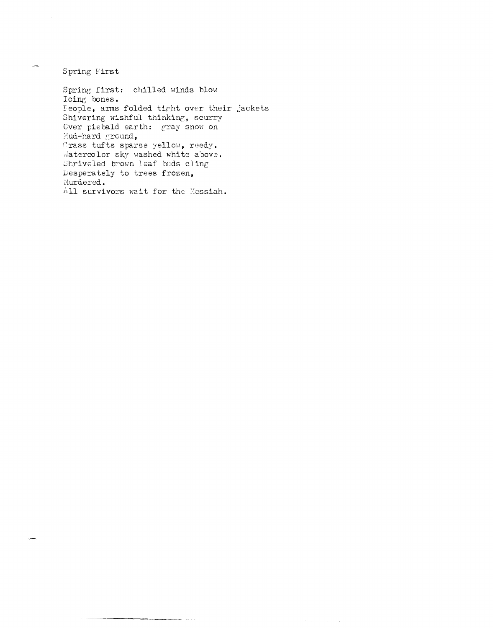Spring First

Spring first: chilled winds blow Icing bones. Feople, arms folded tight over their jackets Shivering wishful thinking, scurry Cver piebald earth: gray snow on Mud-hard ground, Crass tufts sparse yellow, reedy. Watercolor sky washed white above. Shriveled brown leaf buds cling Desperately to trees frozen, Murdered. All survivors wait for the Messiah.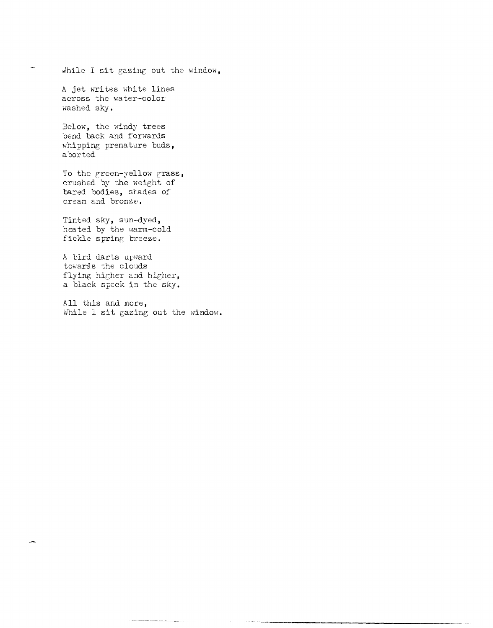While I sit gazing out the window,

A jet writes white lines across the water-color washed sky.

.<br>Wa

Below, the windy trees bend back and forwards whipping premature buds, aborted

To the green-yellow grass, crushed by the weight of bared bodies, shades of cream and bronze.

Tinted sky, sun-dyed, heated by the warm-cold fickle spring breeze.

A bird darts upward towards the clouds flying higher and higher, a black speck in the sky.

All this and more, While I sit gazing out the window.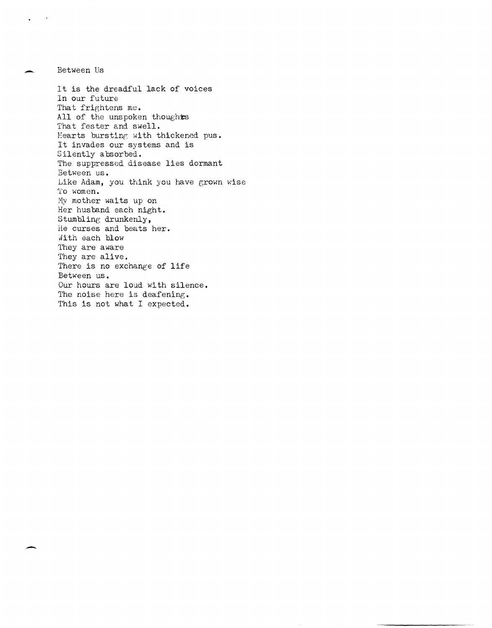Between Us It is the dreadful lack of voices In our future That frightens me. All of the unspoken thoughts That fester and swell. Hearts bursting with thickened pus. It invades our systems and is Silently absorbed. The suppressed disease lies dormant Between us. Like Adam, you think you have grown wise To women. My mother waits up on Her husband each night. Stumbline: drunkenly, He curses and beats her. With each blow They are aware They are alive. There is no exchange of life Between us. Our hours are loud with silence. The noise here is deafening. This is not what I expected.

-

 $\sim 100$ 

-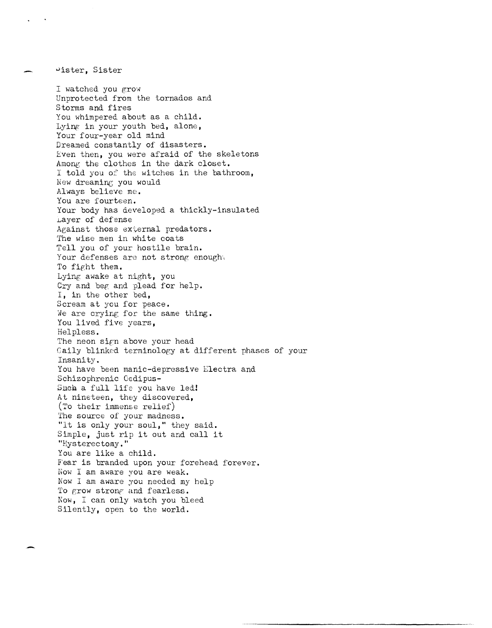I watched you  $grow$ Unprotected from the tornados and Storms and fires You whimpered about as a child. Lying in your youth bed, alone, Your four-year old mind Dreamed constantly of disasters. Even then, you were afraid of the skeletons Among the clothes in the dark closet. I told you of the witches in the bathroom, New dreaming you would Always believe me. You are fourteen. Your body has developed a thickly-insulated Layer of defense Against those  $ext{ex}$  ernal predators. The wise men in white coats Tell you of your hostile brain. Your defenses are not strong enought To fight them. Lying awake at night, you Cry and beg and plead for help. I, in the other bed, Scream at you for peace. We are crying for the same thing. You lived five years, Helpless. The neon sign above your head Gaily blinked terminology at different phases of your Insanity. You have been manic-depressive Electra and Schizophrenic Oedipus-Such a full life you have led! At nineteen, they discovered, (To their immense relief) The source of your madness. "It is only your soul," they said. Simple, just rip it out and call it "Hysterectomy." You are like a child. Fear is branded upon your forehead forever. Now I am aware you are weak. Now I am aware you needed my help To grow strong and fearless. Now, I can only watch you bleed Silently, open to the world.

uister, Sister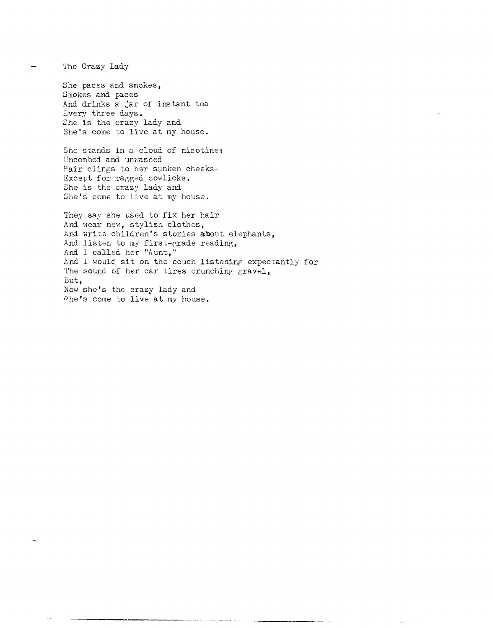The Crazy Lady

She paces and smokes, Smokes and paces And drinks a jar of instant tea Every three days. She is the crazy lady and She's come to live at my house.

She stands in a cloud of nicotine: Uncombed and unwashed Hair clings to her sunken cheeks-Except for ragged cowlicks. She is the crazy lady and She's come to live at my house.

They say she used to fix her hair And wear new, stylish clothes, And write children's stories about elephants, And listen to my first-grade reading, And I called her "Aunt," And I would sit on the couch listening expectantly for The sound of her car tires crunching gravel, But. Now she's the crazy lady and Phe's come to live at my house.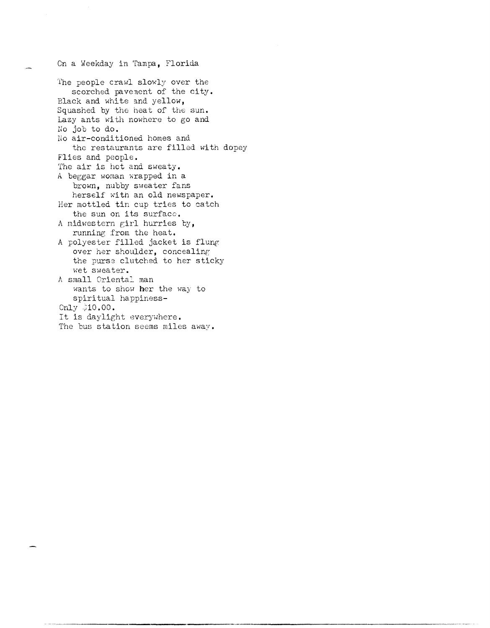On a Weekday in Tampa, Florida

'fhe people crawl slowly over the scorched pavenent of the city. Black and white and yellow, Squashed by the heat of the sun. Lazy ants with nowhere to go and lio job to **do.**  No air-conditioned homes and the restaurants are filled with dopey Flies and people. The air is hot and sweaty. A beggar woman wrapped in a brown, nubby sweater fans herself with an old newspaper. Her mottled tin cup tries to catch the sun on its surface. A midwestern girl hurries by, running from the heat. A polyester filled jacket is flung over her shoulder, concealing the purse clutched to her sticky wet sweater. A small Oriental man wants to show her the way to spiritual happiness- $Only 310.00.$ It is daylight everywhere. The bus station seems miles  $away.$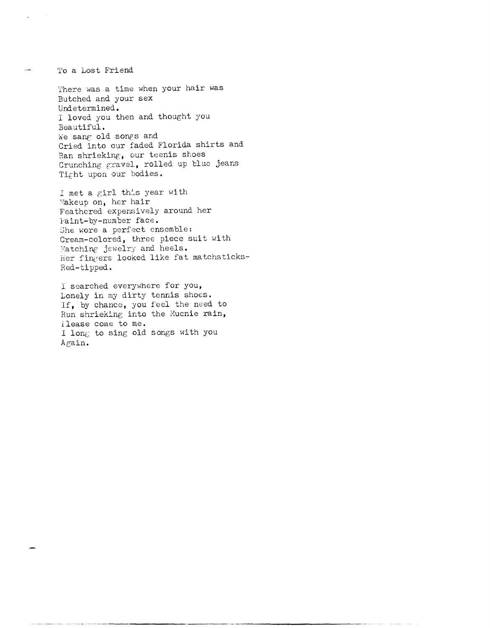To a Lost Friend

There was a time when your hair was Butched and your sex Undetermined. I loved you then and thought you Beautiful. We sang old songs and Cried into our faded Florida shirts and Ran shrieking, our teenis shoes Crunching gravel, rolled up blue jeans Tight upon our bodies.

I met a girl this year with Makeup on, her hair Feathered expensively around her l-aint-by-number face. She wore a perfect ensemble: Cream-colored, three piece suit with Matching jewelry and heels. Her fingers looked like fat matchsticks-Red-tipped.

I searched everywhere for you, Lonely in my dirty tennis shoes. If, by chance, you feel the need to Run shrieking into the Mucnie rain, ilease come to me. I long to sing old songs with you Again.

---\_.\_-------- --.. \_-----------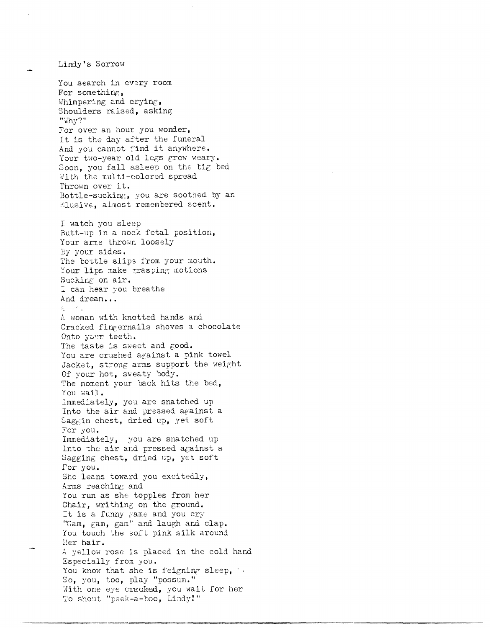Lindy's Sorrow

You search in every room For something, Whimpering and crying, Shoulders raised, asking "Why?" For over an hour you wonder, It is the day after the funeral And you cannot find it anywhere. Your two-year old legs grow weary. Soon, you fall asleep on the big bed With the multi-colored spread Thrown over it. Bottle-sucking, you are soothed by an Elusive, almost remembered scent. I watch you sleep Butt-up in a mock fetal position, Your arms thrown loosely By your sides. The bottle slips from your mouth. Your lips make grasping motions Sucking on air. I can hear you breathe And dream... 委员会的 A woman with knotted hands and Cracked fingernails shoves a chocolate Onto your teeth. The taste is sweet and good. You are crushed against a pink towel Jacket, strong arms support the weight Of your hot, sweaty body. The moment your back hits the bed, You wail. Immediately, you are snatched up Into the air and pressed against a Saggin chest, dried up, yet soft For you. Immediately, you are snatched up Into the air and pressed against a Sagging chest, dried up, yet soft For you. She leans toward you excitedly, Arms reaching and You run as she topples from her Chair, writhing on the ground. It is a funny game and you cry "Gam, gam, gam" and laugh and clap. You touch the soft pink silk around Her hair. A yellow rose is placed in the cold hand Especially from you. You know that she is feigning sleep, So, you, too, play "possum." With one eye cracked, you wait for her To shout "peek-a-boo, Lindy!"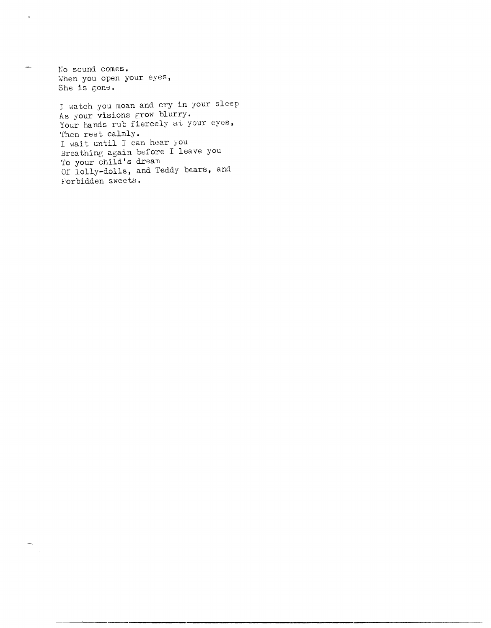No sound comes. When you open your eyes, She is gone.

 $\ddot{\phantom{a}}$ 

للمس

I watch you moan and cry in your sleep As your visions grow blurry. Your hands rub fiercely at your eyes, Then rest calmly. <sup>I</sup>wait until I can hear you Breathing again before I leave you To your child's dream Of lolly-dolls, and Teddy bears, and Forbidden sweets.